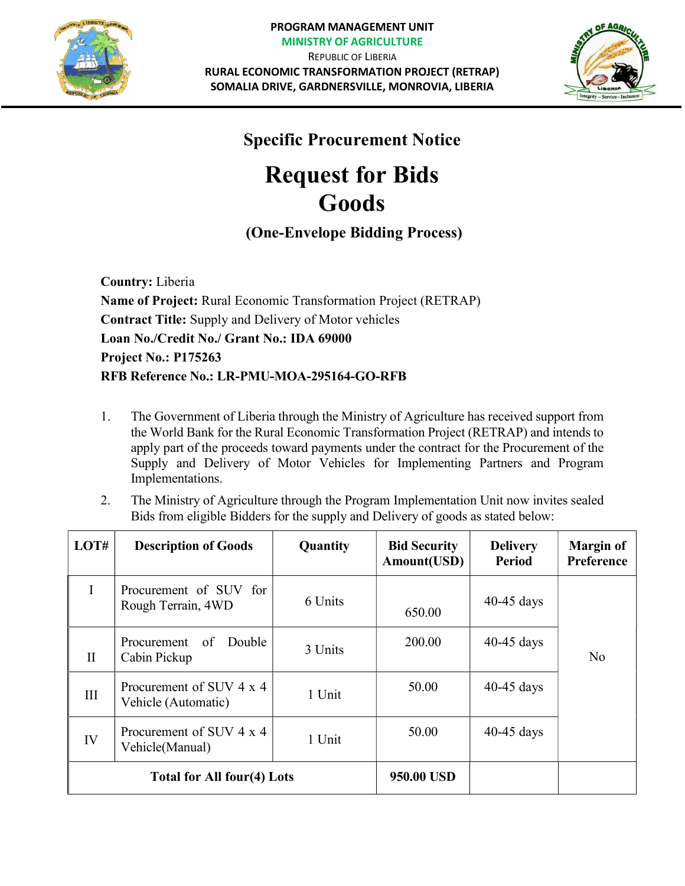



## Specific Procurement Notice

## Request for Bids Goods

## (One-Envelope Bidding Process)

Country: Liberia Name of Project: Rural Economic Transformation Project (RETRAP) Contract Title: Supply and Delivery of Motor vehicles Loan No./Credit No./ Grant No.: IDA 69000 Project No.: P175263 RFB Reference No.: LR-PMU-MOA-295164-GO-RFB

- 1. The Government of Liberia through the Ministry of Agriculture has received support from the World Bank for the Rural Economic Transformation Project (RETRAP) and intends to apply part of the proceeds toward payments under the contract for the Procurement of the Supply and Delivery of Motor Vehicles for Implementing Partners and Program Implementations.
- 2. The Ministry of Agriculture through the Program Implementation Unit now invites sealed Bids from eligible Bidders for the supply and Delivery of goods as stated below:

| LOT#                       | <b>Description of Goods</b>                     | Quantity | <b>Bid Security</b><br>Amount(USD) | <b>Delivery</b><br>Period | <b>Margin of</b><br>Preference |
|----------------------------|-------------------------------------------------|----------|------------------------------------|---------------------------|--------------------------------|
| I                          | Procurement of SUV for<br>Rough Terrain, 4WD    | 6 Units  | 650.00                             | $40-45$ days              |                                |
| $\mathbf{I}$               | Double<br>Procurement<br>of<br>Cabin Pickup     | 3 Units  | 200.00                             | $40-45$ days              | No                             |
| III                        | Procurement of SUV 4 x 4<br>Vehicle (Automatic) | 1 Unit   | 50.00                              | $40-45$ days              |                                |
| IV                         | Procurement of SUV 4 x 4<br>Vehicle(Manual)     | 1 Unit   | 50.00                              | $40-45$ days              |                                |
| Total for All four(4) Lots |                                                 |          | 950.00 USD                         |                           |                                |